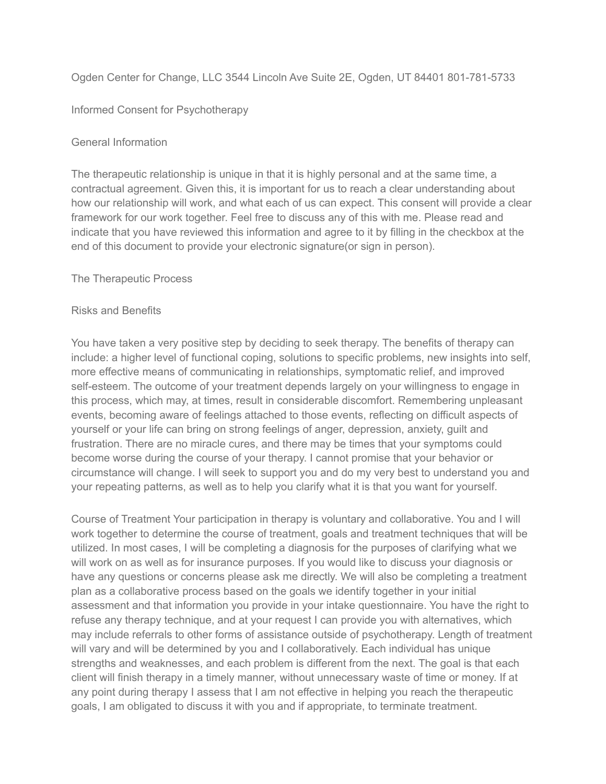Ogden Center for Change, LLC 3544 Lincoln Ave Suite 2E, Ogden, UT 84401 801-781-5733

Informed Consent for Psychotherapy

## General Information

The therapeutic relationship is unique in that it is highly personal and at the same time, a contractual agreement. Given this, it is important for us to reach a clear understanding about how our relationship will work, and what each of us can expect. This consent will provide a clear framework for our work together. Feel free to discuss any of this with me. Please read and indicate that you have reviewed this information and agree to it by filling in the checkbox at the end of this document to provide your electronic signature(or sign in person).

The Therapeutic Process

## Risks and Benefits

You have taken a very positive step by deciding to seek therapy. The benefits of therapy can include: a higher level of functional coping, solutions to specific problems, new insights into self, more effective means of communicating in relationships, symptomatic relief, and improved self-esteem. The outcome of your treatment depends largely on your willingness to engage in this process, which may, at times, result in considerable discomfort. Remembering unpleasant events, becoming aware of feelings attached to those events, reflecting on difficult aspects of yourself or your life can bring on strong feelings of anger, depression, anxiety, guilt and frustration. There are no miracle cures, and there may be times that your symptoms could become worse during the course of your therapy. I cannot promise that your behavior or circumstance will change. I will seek to support you and do my very best to understand you and your repeating patterns, as well as to help you clarify what it is that you want for yourself.

Course of Treatment Your participation in therapy is voluntary and collaborative. You and I will work together to determine the course of treatment, goals and treatment techniques that will be utilized. In most cases, I will be completing a diagnosis for the purposes of clarifying what we will work on as well as for insurance purposes. If you would like to discuss your diagnosis or have any questions or concerns please ask me directly. We will also be completing a treatment plan as a collaborative process based on the goals we identify together in your initial assessment and that information you provide in your intake questionnaire. You have the right to refuse any therapy technique, and at your request I can provide you with alternatives, which may include referrals to other forms of assistance outside of psychotherapy. Length of treatment will vary and will be determined by you and I collaboratively. Each individual has unique strengths and weaknesses, and each problem is different from the next. The goal is that each client will finish therapy in a timely manner, without unnecessary waste of time or money. If at any point during therapy I assess that I am not effective in helping you reach the therapeutic goals, I am obligated to discuss it with you and if appropriate, to terminate treatment.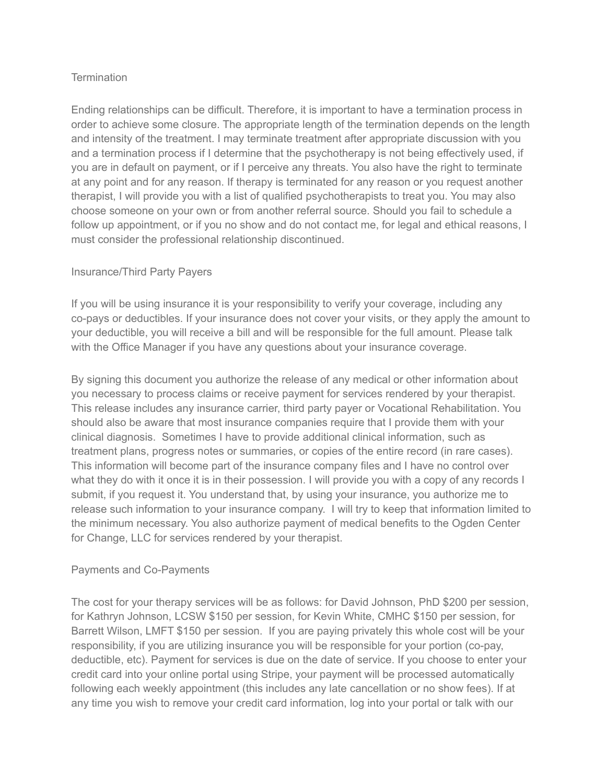## **Termination**

Ending relationships can be difficult. Therefore, it is important to have a termination process in order to achieve some closure. The appropriate length of the termination depends on the length and intensity of the treatment. I may terminate treatment after appropriate discussion with you and a termination process if I determine that the psychotherapy is not being effectively used, if you are in default on payment, or if I perceive any threats. You also have the right to terminate at any point and for any reason. If therapy is terminated for any reason or you request another therapist, I will provide you with a list of qualified psychotherapists to treat you. You may also choose someone on your own or from another referral source. Should you fail to schedule a follow up appointment, or if you no show and do not contact me, for legal and ethical reasons, I must consider the professional relationship discontinued.

## Insurance/Third Party Payers

If you will be using insurance it is your responsibility to verify your coverage, including any co-pays or deductibles. If your insurance does not cover your visits, or they apply the amount to your deductible, you will receive a bill and will be responsible for the full amount. Please talk with the Office Manager if you have any questions about your insurance coverage.

By signing this document you authorize the release of any medical or other information about you necessary to process claims or receive payment for services rendered by your therapist. This release includes any insurance carrier, third party payer or Vocational Rehabilitation. You should also be aware that most insurance companies require that I provide them with your clinical diagnosis. Sometimes I have to provide additional clinical information, such as treatment plans, progress notes or summaries, or copies of the entire record (in rare cases). This information will become part of the insurance company files and I have no control over what they do with it once it is in their possession. I will provide you with a copy of any records I submit, if you request it. You understand that, by using your insurance, you authorize me to release such information to your insurance company. I will try to keep that information limited to the minimum necessary. You also authorize payment of medical benefits to the Ogden Center for Change, LLC for services rendered by your therapist.

#### Payments and Co-Payments

The cost for your therapy services will be as follows: for David Johnson, PhD \$200 per session, for Kathryn Johnson, LCSW \$150 per session, for Kevin White, CMHC \$150 per session, for Barrett Wilson, LMFT \$150 per session. If you are paying privately this whole cost will be your responsibility, if you are utilizing insurance you will be responsible for your portion (co-pay, deductible, etc). Payment for services is due on the date of service. If you choose to enter your credit card into your online portal using Stripe, your payment will be processed automatically following each weekly appointment (this includes any late cancellation or no show fees). If at any time you wish to remove your credit card information, log into your portal or talk with our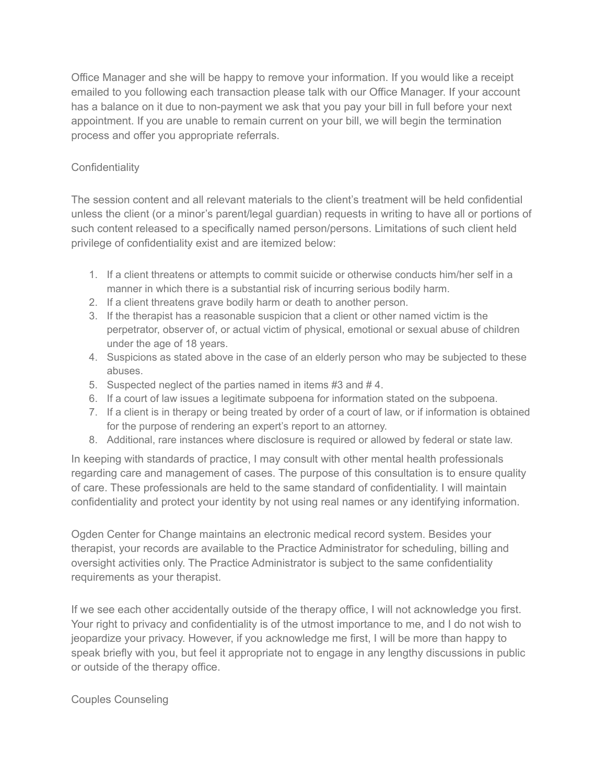Office Manager and she will be happy to remove your information. If you would like a receipt emailed to you following each transaction please talk with our Office Manager. If your account has a balance on it due to non-payment we ask that you pay your bill in full before your next appointment. If you are unable to remain current on your bill, we will begin the termination process and offer you appropriate referrals.

# **Confidentiality**

The session content and all relevant materials to the client's treatment will be held confidential unless the client (or a minor's parent/legal guardian) requests in writing to have all or portions of such content released to a specifically named person/persons. Limitations of such client held privilege of confidentiality exist and are itemized below:

- 1. If a client threatens or attempts to commit suicide or otherwise conducts him/her self in a manner in which there is a substantial risk of incurring serious bodily harm.
- 2. If a client threatens grave bodily harm or death to another person.
- 3. If the therapist has a reasonable suspicion that a client or other named victim is the perpetrator, observer of, or actual victim of physical, emotional or sexual abuse of children under the age of 18 years.
- 4. Suspicions as stated above in the case of an elderly person who may be subjected to these abuses.
- 5. Suspected neglect of the parties named in items #3 and # 4.
- 6. If a court of law issues a legitimate subpoena for information stated on the subpoena.
- 7. If a client is in therapy or being treated by order of a court of law, or if information is obtained for the purpose of rendering an expert's report to an attorney.
- 8. Additional, rare instances where disclosure is required or allowed by federal or state law.

In keeping with standards of practice, I may consult with other mental health professionals regarding care and management of cases. The purpose of this consultation is to ensure quality of care. These professionals are held to the same standard of confidentiality. I will maintain confidentiality and protect your identity by not using real names or any identifying information.

Ogden Center for Change maintains an electronic medical record system. Besides your therapist, your records are available to the Practice Administrator for scheduling, billing and oversight activities only. The Practice Administrator is subject to the same confidentiality requirements as your therapist.

If we see each other accidentally outside of the therapy office, I will not acknowledge you first. Your right to privacy and confidentiality is of the utmost importance to me, and I do not wish to jeopardize your privacy. However, if you acknowledge me first, I will be more than happy to speak briefly with you, but feel it appropriate not to engage in any lengthy discussions in public or outside of the therapy office.

Couples Counseling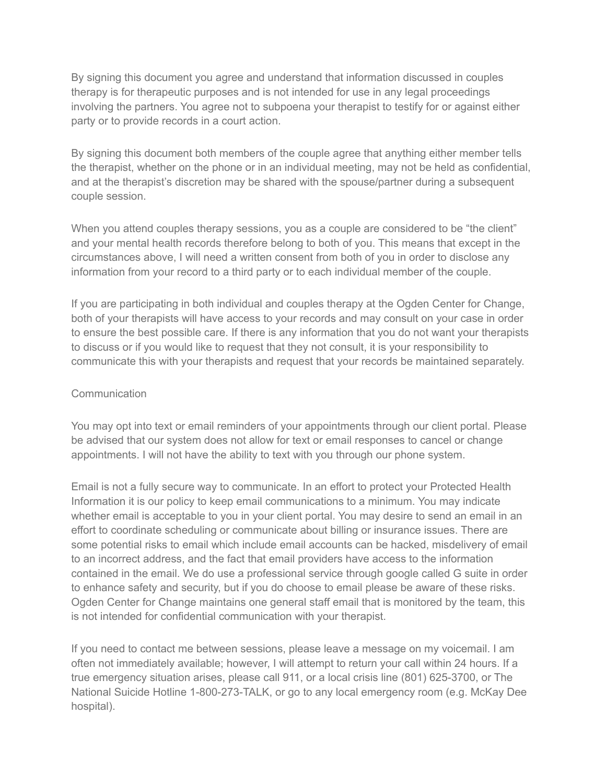By signing this document you agree and understand that information discussed in couples therapy is for therapeutic purposes and is not intended for use in any legal proceedings involving the partners. You agree not to subpoena your therapist to testify for or against either party or to provide records in a court action.

By signing this document both members of the couple agree that anything either member tells the therapist, whether on the phone or in an individual meeting, may not be held as confidential, and at the therapist's discretion may be shared with the spouse/partner during a subsequent couple session.

When you attend couples therapy sessions, you as a couple are considered to be "the client" and your mental health records therefore belong to both of you. This means that except in the circumstances above, I will need a written consent from both of you in order to disclose any information from your record to a third party or to each individual member of the couple.

If you are participating in both individual and couples therapy at the Ogden Center for Change, both of your therapists will have access to your records and may consult on your case in order to ensure the best possible care. If there is any information that you do not want your therapists to discuss or if you would like to request that they not consult, it is your responsibility to communicate this with your therapists and request that your records be maintained separately.

## **Communication**

You may opt into text or email reminders of your appointments through our client portal. Please be advised that our system does not allow for text or email responses to cancel or change appointments. I will not have the ability to text with you through our phone system.

Email is not a fully secure way to communicate. In an effort to protect your Protected Health Information it is our policy to keep email communications to a minimum. You may indicate whether email is acceptable to you in your client portal. You may desire to send an email in an effort to coordinate scheduling or communicate about billing or insurance issues. There are some potential risks to email which include email accounts can be hacked, misdelivery of email to an incorrect address, and the fact that email providers have access to the information contained in the email. We do use a professional service through google called G suite in order to enhance safety and security, but if you do choose to email please be aware of these risks. Ogden Center for Change maintains one general staff email that is monitored by the team, this is not intended for confidential communication with your therapist.

If you need to contact me between sessions, please leave a message on my voicemail. I am often not immediately available; however, I will attempt to return your call within 24 hours. If a true emergency situation arises, please call 911, or a local crisis line (801) 625-3700, or The National Suicide Hotline 1-800-273-TALK, or go to any local emergency room (e.g. McKay Dee hospital).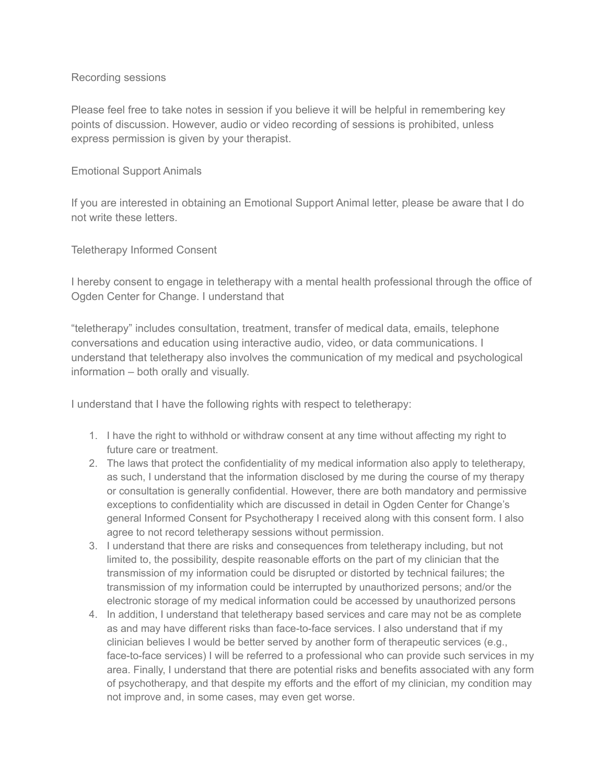#### Recording sessions

Please feel free to take notes in session if you believe it will be helpful in remembering key points of discussion. However, audio or video recording of sessions is prohibited, unless express permission is given by your therapist.

#### Emotional Support Animals

If you are interested in obtaining an Emotional Support Animal letter, please be aware that I do not write these letters.

Teletherapy Informed Consent

I hereby consent to engage in teletherapy with a mental health professional through the office of Ogden Center for Change. I understand that

"teletherapy" includes consultation, treatment, transfer of medical data, emails, telephone conversations and education using interactive audio, video, or data communications. I understand that teletherapy also involves the communication of my medical and psychological information – both orally and visually.

I understand that I have the following rights with respect to teletherapy:

- 1. I have the right to withhold or withdraw consent at any time without affecting my right to future care or treatment.
- 2. The laws that protect the confidentiality of my medical information also apply to teletherapy, as such, I understand that the information disclosed by me during the course of my therapy or consultation is generally confidential. However, there are both mandatory and permissive exceptions to confidentiality which are discussed in detail in Ogden Center for Change's general Informed Consent for Psychotherapy I received along with this consent form. I also agree to not record teletherapy sessions without permission.
- 3. I understand that there are risks and consequences from teletherapy including, but not limited to, the possibility, despite reasonable efforts on the part of my clinician that the transmission of my information could be disrupted or distorted by technical failures; the transmission of my information could be interrupted by unauthorized persons; and/or the electronic storage of my medical information could be accessed by unauthorized persons
- 4. In addition, I understand that teletherapy based services and care may not be as complete as and may have different risks than face-to-face services. I also understand that if my clinician believes I would be better served by another form of therapeutic services (e.g., face-to-face services) I will be referred to a professional who can provide such services in my area. Finally, I understand that there are potential risks and benefits associated with any form of psychotherapy, and that despite my efforts and the effort of my clinician, my condition may not improve and, in some cases, may even get worse.